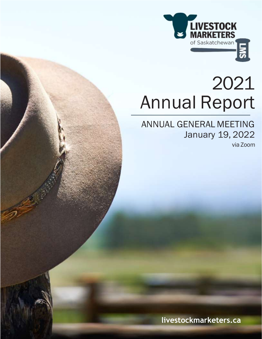

# 2021 Annual Report

ANNUAL GENERAL MEETING January 19, 2022

via Zoom

**livestockmarketers.ca**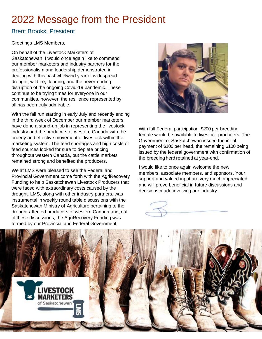# 2022 Message from the President

### Brent Brooks, President

### Greetings LMS Members,

On behalf of the Livestock Marketers of Saskatchewan, I would once again like to commend our member marketers and industry partners for the professionalism and leadership demonstrated in dealing with this past whirlwind year of widespread drought, wildfire, flooding, and the never-ending disruption of the ongoing Covid-19 pandemic. These continue to be trying times for everyone in our communities, however, the resilience represented by all has been truly admirable.

With the fall run starting in early July and recently ending in the third week of December our member marketers have done a stand-up job in representing the livestock industry and the producers of western Canada with the orderly and effective movement of livestock within the marketing system. The feed shortages and high costs of feed sources looked for sure to deplete pricing throughout western Canada, but the cattle markets remained strong and benefited the producers.

We at LMS were pleased to see the Federal and Provincial Government come forth with the AgriRecovery Funding to help Saskatchewan Livestock Producers that were faced with extraordinary costs caused by the drought. LMS, along with other industry partners, was instrumental in weekly round table discussions with the Saskatchewan Ministry of Agriculture pertaining to the drought-affected producers of western Canada and, out of these discussions, the AgriRecovery Funding was formed by our Provincial and Federal Government.



With full Federal participation, \$200 per breeding female would be available to livestock producers. The Government of Saskatchewan issued the initial payment of \$100 per head, the remaining \$100 being issued by the federal government with confirmation of the breeding herd retained at year-end.

I would like to once again welcome the new members, associate members, and sponsors. Your support and valued input are very much appreciated and will prove beneficial in future discussions and decisions made involving our industry.

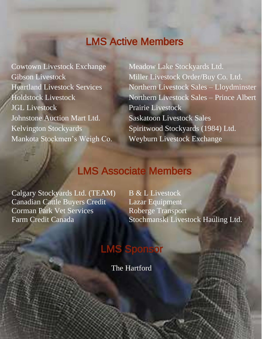## LMS Active Members

Cowtown Livestock Exchange Meadow Lake Stockyards Ltd. JGL Livestock Prairie Livestock Johnstone Auction Mart Ltd. Saskatoon Livestock Sales

Gibson Livestock Miller Livestock Order/Buy Co. Ltd. Heartland Livestock Services Northern Livestock Sales – Lloydminster Holdstock Livestock Northern Livestock Sales – Prince Albert Kelvington Stockyards Spiritwood Stockyards (1984) Ltd. Mankota Stockmen's Weigh Co. Weyburn Livestock Exchange

### LMS Associate Members

Calgary Stockyards Ltd. (TEAM) B & L Livestock Canadian Cattle Buyers Credit Lazar Equipment Corman Park Vet Services Roberge Transport

Farm Credit Canada **Stochmanski Livestock Hauling Ltd.** 

# LMS Sponsor

The Hartford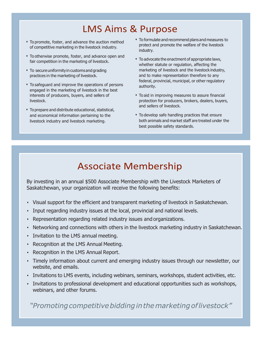### LMS Aims & Purpose

- To promote, foster, and advance the auction method of competitive marketing in the livestock industry.
- To otherwise promote, foster, and advance open and fair competition in the marketing of livestock.
- To secure uniformity in customs and grading practices in the marketing of livestock.
- To safeguard and improve the operations of persons engaged in the marketing of livestock in the best interests of producers, buyers, and sellers of livestock.
- Toprepare and distribute educational, statistical, and economical information pertaining to the livestock industry and livestock marketing.
- To formulate and recommend plans and measures to protect and promote the welfare of the livestock industry.
- To advocate the enactment of appropriate laws, whether statute or regulation, affecting the marketing of livestock and the livestock industry, and to make representation therefore to any federal, provincial, municipal, or other regulatory authority.
- To aid in improving measures to assure financial protection for producers, brokers, dealers, buyers, and sellers of livestock.
- To develop safe handling practices that ensure both animals and market staff are treated under the best possible safety standards.

### **Associate Membership**

By investing in an annual \$500 Associate Membership with the Livestock Marketers of Saskatchewan, your organization will receive the following benefits:

- Visual support for the efficient and transparent marketing of livestock in Saskatchewan.
- Input regarding industry issues at the local, provincial and national levels.
- Representation regarding related industry issues and organizations.
- Networking and connections with others in the livestock marketing industry in Saskatchewan.
- **Invitation to the LMS annual meeting.**
- Recognition at the LMS Annual Meeting.
- Recognition in the LMS Annual Report.
- Timely information about current and emerging industry issues through our newsletter, our website, and emails.
- Invitations to LMS events, including webinars, seminars, workshops, student activities, etc.
- Invitations to professional development and educational opportunities such as workshops, webinars, and other forums.

*"Promotingcompetitivebiddinginthemarketingoflivestock"*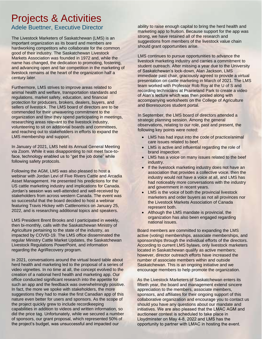# Projects & Activities

Adele Buettner, Executive Director

The Livestock Marketers of Saskatchewan (LMS) is an important organization as its board and members are hardworking competitors who collaborate for the common good of their industry. The Saskatchewan Livestock Markets Association was founded in 1972 and, while the name has changed, the dedication to promoting, fostering, and advancing open and fair competition in the marketing of livestock remains at the heart of the organization half a century later.

Furthermore, LMS strives to improve areas related to animal health and welfare, transportation standards and regulations, market safety, education, and financial protection for producers, brokers, dealers, buyers, and sellers of livestock. The LMS board of directors are to be commended for their unwavering commitment to the organization and time they spend participating in meetings, researching areas relevant to the livestock industry, volunteering to sit on additional boards and committees, and reaching out to stakeholders in efforts to expand the LMS membership and support.

In January of 2021, LMS held its Annual General Meeting via Zoom. While it was disappointing to not meet face-toface, technology enabled us to "get the job done" while following safety protocols.

Following the AGM, LMS was also pleased to host a webinar with Jordan Levi of Five Rivers Cattle and Arcadia Asset Management. He presented his predictions for the US cattle marketing industry and implications for Canada. Jordan's session was well-attended and well-received by stakeholders from across western Canada. The event was so successful that the board decided to host a webinar featuring Travis Hickey with Cattlenomics on January 25, 2022, and is researching additional topics and speakers.

LMS President Brent Brooks and I participated in weekly, then bi-monthly, calls with the Saskatchewan Ministry of Agriculture pertaining to the state of the industry, as impacted by COVID-19. The LMS office disseminated the regular Ministry Cattle Market Updates, the Saskatchewan Livestock Regulations PowerPoint, and information regarding the AgriRecovery program.

In 2021, conversations around the virtual board table about herd health and marketing led to the proposal of a series of video vignettes. In no time at all, the concept evolved to the creation of a national herd health and marketing app. Our office conducted significant research into the appetite for such an app and the feedback was overwhelmingly positive. In fact, the more we spoke with stakeholders, the more suggestions they had to make the first Canadian app of this nature even better for users and sponsors. As the scope of the project quickly grew to include recordkeeping capabilities in addition to videos and written information, so did the price tag. Unfortunately, while we secured a number of sponsors, our grant proposal, which represented 50% of the project's budget, was unsuccessful and impacted our

ability to raise enough capital to bring the herd health and marketing app to fruition. Because support for the app was strong, we have retained all of the research and suggestions from members of the livestock value chain should grant opportunities arise.

LMS continues to pursue opportunities to advance the livestock marketing industry and carries a commitment to student outreach. After missing a year due to the University of Saskatchewan's lock-down, Alan Jackson, LMS immediate past chair, graciously agreed to provide a virtual presentation on cattle marketing in March of 2021. The LMS team worked with Professor Rob Roy at the U of S and recording technicians at Prairieland Park to create a video of Alan's lecture which was then posted along with accompanying worksheets on the College of Agriculture and Bioresources student portal.

In September, the LMS board of directors attended a strategic planning session. Among the general observations, relating to our role, past and present, the following key points were noted:

- LMS has had input into the code of practice/animal care issues related to beef.
- LMS is active and influential regarding the role of brand inspection.
- LMS has a voice on many issues related to the beef industry.
- If the livestock marketing industry does not have an association that provides a collective voice, then the industry would not have a voice at all, and LMS has had noticeably more conversations with the industry and government in recent years.
- LMS is the voice of both the provincial livestock marketers and order buyers as not all provinces nor the Livestock Markets Association of Canada represent both.
- Although the LMS mandate is provincial, the organization has also been engaged regarding national issues.

Board members are committed to expanding the LMS active (voting) memberships, associate memberships, and sponsorships through the individual efforts of the directors. According to current LMS bylaws, only livestock marketers located in Saskatchewan qualify as active members; however, director outreach efforts have increased the number of associate members within and outside Saskatchewan. This is an ongoing initiative and we encourage members to help promote the organization.

As the Livestock Marketers of Saskatchewan enters its fiftieth year, the board and management extend sincere appreciation to the members, associate members, sponsors, and affiliates for their ongoing support of this collaborative organization and encourage you to contact us should you have any questions about our mandate and initiatives. We are also pleased that the LMAC AGM and auctioneer contest is scheduled to take place in Lloydminster on May 4-8, 2022 and LMS has the opportunity to partner with LMAC in hosting the event.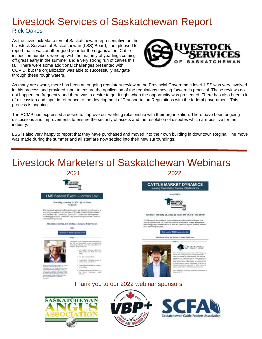### Livestock Services of Saskatchewan Report Rick Oakes

As the Livestock Marketers of Saskatchewan representative on the Livestock Services of Saskatchewan (LSS) Board, I am pleased to report that it was another good year for the organization. Cattle inspection numbers were up with the majority of yearlings coming off grass early in the summer and a very strong run of calves this fall. There were some additional challenges presented with COVID, but the organization was able to successfully navigate through these rough waters.



Saskatchewan Cattle Feeders Association

As many are aware, there has been an ongoing regulatory review at the Provincial Government level. LSS was very involved in this process and provided input to ensure the application of the regulations moving forward is practical. These reviews do not happen too frequently and there was a desire to get it right when the opportunity was presented. There has also been a lot of discussion and input in reference to the development of Transportation Regulations with the federal government. This process is ongoing.

The RCMP has expressed a desire to improve our working relationship with their organization. There have been ongoing discussions and improvements to ensure the security of assets and the resolution of disputes which are positive for the industry.

LSS is also very happy to report that they have purchased and moved into their own building in downtown Regina. The move was made during the summer and all staff are now settled into their new surroundings.



ÆFF